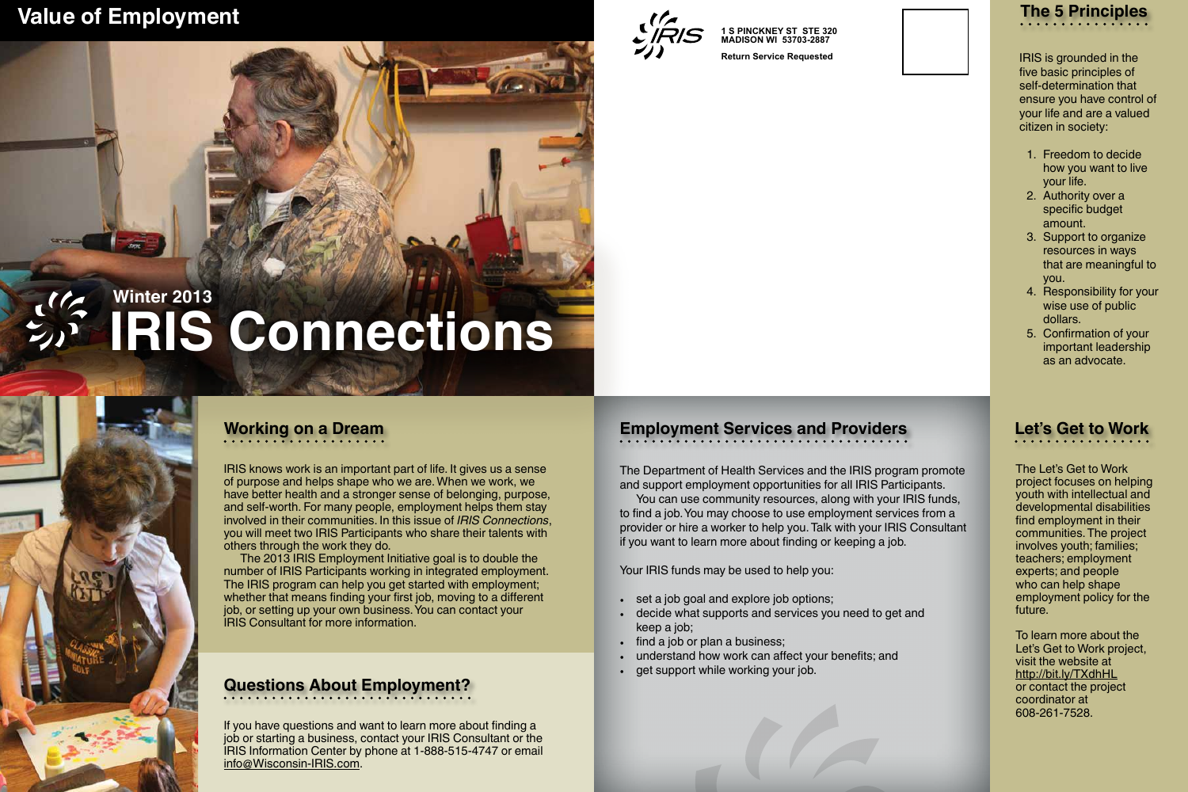## **Employment Services and Providers**

You can use community resources, along with your IRIS funds,

The Department of Health Services and the IRIS program promote and support employment opportunities for all IRIS Participants. to find a job. You may choose to use employment services from a provider or hire a worker to help you. Talk with your IRIS Consultant if you want to learn more about finding or keeping a job.

- set a job goal and explore job options;
- decide what supports and services you need to get and keep a job;
- find a job or plan a business;
- understand how work can affect your benefits; and
- get support while working your job.

Your IRIS funds may be used to help you:

IRIS knows work is an important part of life. It gives us a sense of purpose and helps shape who we are. When we work, we have better health and a stronger sense of belonging, purpose, and self-worth. For many people, employment helps them stay involved in their communities. In this issue of *IRIS Connections*, you will meet two IRIS Participants who share their talents with others through the work they do.

The 2013 IRIS Employment Initiative goal is to double the number of IRIS Participants working in integrated employment. The IRIS program can help you get started with employment; whether that means finding your first job, moving to a different job, or setting up your own business. You can contact your IRIS Consultant for more information.

The Let's Get to Work project focuses on helping youth with intellectual and developmental disabilities find employment in their communities. The project involves youth; families; teachers; employment experts; and people who can help shape employment policy for the future.

To learn more about the Let's Get to Work project, visit the website at http://bit.ly/TXdhHL or contact the project coordinator at 608-261-7528.

### **Let's Get to Work**

IRIS is grounded in the five basic principles of self-determination that ensure you have control of your life and are a valued citizen in society:

- 1. Freedom to decide how you want to live your life.
- 2. Authority over a specific budget amount.
- 3. Support to organize resources in ways that are meaningful to you.
- 4. Responsibility for your wise use of public dollars.
- 5. Confirmation of your important leadership as an advocate.



If you have questions and want to learn more about finding a job or starting a business, contact your IRIS Consultant or the IRIS Information Center by phone at 1-888-515-4747 or email info@Wisconsin-IRIS.com.

#### **Questions About Employment?**

#### **Working on a Dream**

#### **Value of Employment**



# **IRIS Connections Winter 2013**

**1 S PINCKNEY ST STE 320 MADISON WI 53703-2887**

**Return Service Requested**